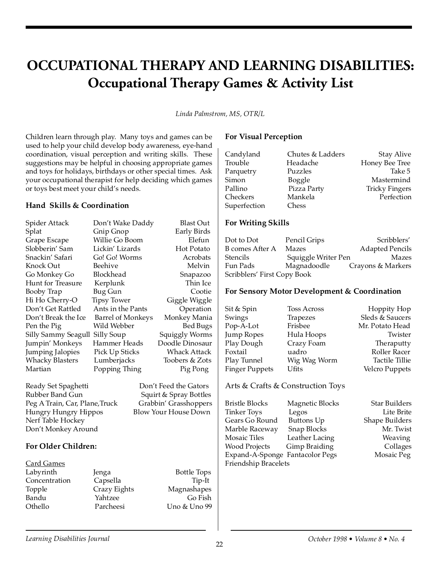# **OCCUPATIONAL THERAPY AND LEARNING DISABILITIES: Occupational Therapy Games & Activity List**

*Linda Palmstrom, MS, OTR/L*

Children learn through play. Many toys and games can be used to help your child develop body awareness, eye-hand coordination, visual perception and writing skills. These suggestions may be helpful in choosing appropriate games and toys for holidays, birthdays or other special times. Ask your occupational therapist for help deciding which games or toys best meet your child's needs.

#### **Hand Skills & Coordination**

| Spider Attack                  | Don't Wake Daddy         | Blast Out                   |  |
|--------------------------------|--------------------------|-----------------------------|--|
| Splat                          | Gnip Gnop                | Early Birds                 |  |
| Grape Escape                   | Willie Go Boom           | Elefun                      |  |
| Slobberin' Sam                 | Lickin' Lizards          | <b>Hot Potato</b>           |  |
| Snackin' Safari                | Go! Go! Worms            | Acrobats                    |  |
| Knock Out                      | Beehive                  | Melvin                      |  |
| Go Monkey Go                   | Blockhead                | Snapazoo                    |  |
| Hunt for Treasure              | Kerplunk                 | Thin Ice                    |  |
| Booby Trap                     | Bug Gun                  | Cootie                      |  |
| Hi Ho Cherry-O                 | <b>Tipsy Tower</b>       | Giggle Wiggle               |  |
| Don't Get Rattled              | Ants in the Pants        | Operation                   |  |
| Don't Break the Ice            | <b>Barrel of Monkeys</b> | Monkey Mania                |  |
| Pen the Pig                    | Wild Webber              | <b>Bed Bugs</b>             |  |
| Silly Sammy Seagull            | Silly Soup               | <b>Squiggly Worms</b>       |  |
| Jumpin' Monkeys                | Hammer Heads             | Doodle Dinosaur             |  |
| Jumping Jalopies               | Pick Up Sticks           | Whack Attack                |  |
| <b>Whacky Blasters</b>         | Lumberjacks              | Toobers & Zots              |  |
| Martian                        | Popping Thing            | Pig Pong                    |  |
| Ready Set Spaghetti            |                          | Don't Feed the Gators       |  |
| Rubber Band Gun                |                          | Squirt & Spray Bottles      |  |
| Peg A Train, Car, Plane, Truck |                          | Grabbin' Grasshoppers       |  |
| Hungry Hungry Hippos           |                          | <b>Blow Your House Down</b> |  |
| Nerf Table Hockey              |                          |                             |  |
| Don't Monkey Around            |                          |                             |  |
|                                |                          |                             |  |
| For Older Children:            |                          |                             |  |

### Card Games Labyrinth Jenga Bottle Tops Concentration Capsella Tip-It Topple Crazy Eights Magnashapes Bandu Yahtzee Go Fish Othello Parcheesi Uno & Uno 99

## **For Visual Perception**

| Candyland    | Chutes & Ladders | <b>Stay Alive</b>     |
|--------------|------------------|-----------------------|
| Trouble      | Headache         | Honey Bee Tree        |
| Parquetry    | Puzzles          | Take 5                |
| Simon        | <b>Boggle</b>    | Mastermind            |
| Pallino      | Pizza Party      | <b>Tricky Fingers</b> |
| Checkers     | Mankela          | Perfection            |
| Superfection | Chess            |                       |

### **For Writing Skills**

Dot to Dot Pencil Grips Scribblers' B comes After A Mazes Adapted Pencils Stencils Squiggle Writer Pen Mazes Fun Pads Magnadoodle Crayons & Markers Scribblers' First Copy Book

#### **For Sensory Motor Development & Coordination**

Sit & Spin Toss Across Hoppity Hop Swings Trapezes Sleds & Saucers Pop-A-Lot Frisbee Mr. Potato Head Jump Ropes Hula Hoops Twister Play Dough Crazy Foam Theraputty Foxtail uadro Roller Racer Play Tunnel Wig Wag Worm Tactile Tillie Finger Puppets Ufits Velcro Puppets

## Arts & Crafts & Construction Toys

Bristle Blocks Magnetic Blocks Star Builders Tinker Toys Legos Lite Brite Gears Go Round Buttons Up Shape Builders Marble Raceway Snap Blocks Mr. Twist Mosaic Tiles Leather Lacing Weaving Wood Projects Gimp Braiding Collages Expand-A-Sponge Fantacolor Pegs Mosaic Peg Friendship Bracelets